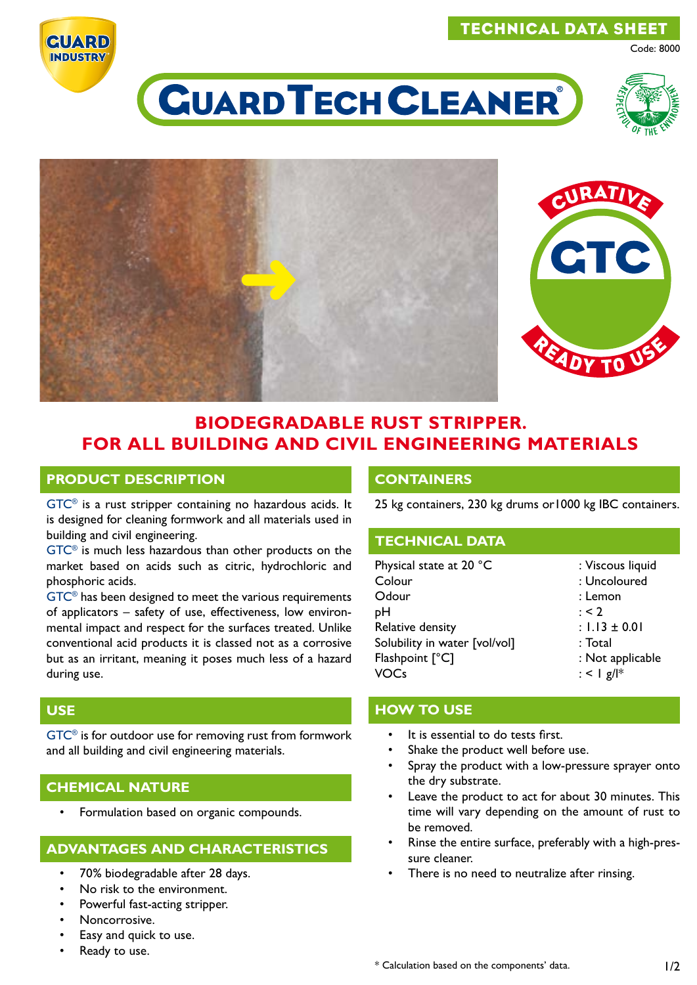## TECHNICAL DATA SHEET



# **CUARD TECH CLEANER**



Code: 8000



## **BIODEGRADABLE RUST STRIPPER. FOR ALL BUILDING AND CIVIL ENGINEERING MATERIALS**

#### **PRODUCT DESCRIPTION**

 $GTC^<sup>®</sup>$  is a rust stripper containing no hazardous acids. It is designed for cleaning formwork and all materials used in building and civil engineering.

GTC® is much less hazardous than other products on the market based on acids such as citric, hydrochloric and phosphoric acids.

GTC® has been designed to meet the various requirements of applicators – safety of use, effectiveness, low environmental impact and respect for the surfaces treated. Unlike conventional acid products it is classed not as a corrosive but as an irritant, meaning it poses much less of a hazard during use.

### **USE**

GTC® is for outdoor use for removing rust from formwork and all building and civil engineering materials.

### **CHEMICAL NATURE**

• Formulation based on organic compounds.

#### **ADVANTAGES AND CHARACTERISTICS**

- 70% biodegradable after 28 days.
- No risk to the environment.
- Powerful fast-acting stripper.
- Noncorrosive.
- Easy and quick to use.
- Ready to use.

#### **CONTAINERS**

25 kg containers, 230 kg drums or1000 kg IBC containers.

#### **TECHNICAL DATA**

| Physical state at 20 °C       | : Viscous liquid  |
|-------------------------------|-------------------|
| Colour                        | : Uncoloured      |
| Odour                         | : Lemon           |
| рH                            | : 2               |
| Relative density              | : $1.13 \pm 0.01$ |
| Solubility in water [vol/vol] | $:$ Total         |
| Flashpoint $[^{\circ}C]$      | : Not applicable  |
| VOCs                          | : < $ g  ^*$      |

#### **HOW TO USE**

- It is essential to do tests first.
- Shake the product well before use.
- Spray the product with a low-pressure sprayer onto the dry substrate.
- Leave the product to act for about 30 minutes. This time will vary depending on the amount of rust to be removed.
- Rinse the entire surface, preferably with a high-pressure cleaner.
- There is no need to neutralize after rinsing.